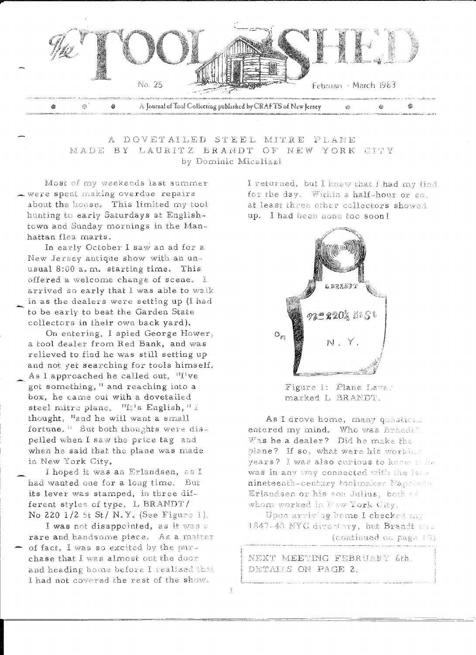

DOVETAILED STEEL MITRE PLANE MADE BY LAURITZ BRANDT OF NEW YORK CITY by Dominic Micalizzi

 $\mathbf{L}$ 

Most of my weekends last summer were spent making overdue repairs about the house. This limited my tool hunting to early Saturdays at Englishtown and Sunday mornings in the Manhattan flea marts.

In early October I saw an ad for a New Jersey antique show with an unusual 8:00 a.m. starting time. This offered a welcome change of scene. I arrived so early that I was able to waik in as the dealers were setting up (I had to be early to beat the Garden State collectors in their own back yard).

On entering, I spied George Hower, a tool dealer from Red Bank, and was relieved to find he was still setting up and not yet searching for tools himself. As I approached he called out, "I've got something," and reaching into a box, he came out with a dovetailed steel mitre plane. "It's English, "I thought, "and he will want a small fortune.<sup>11</sup> But both thoughts were dispelled when I saw the price tag and when he said that the plane was made in New York City.

I hoped it was an Erlandsen, as I had wanted one for a long time. But its lever was stamped, in three different styles of type, L BRANDT/ No 220 1/2 5t St / N. Y. (See Figure 1).

I was not disappointed, as it was a rare and handsome piece. As a matter of fact, I was so excited by the purchase that I was almost out the door and heading home before I realized that I had not covered the rest of the show.

I returned, but I knew that I had my find for the day. Within a half-hour or so. at least three other collectors showed up. I had been none too soon!



Figure 1: Plane Lever marked L BRANDT.

As I drove home, many questions entered my mind. Who was Brandif. Was he a dealer? Did he make the plane? If so, what were his working years? I was also curious to know it he was in any way connected with the late nineteenth-century toolmaker Napoleou Erlandsen or his son Julius, both of whom worked in New York City.

Upon arriving home I checked my 1847-48 NYC directory, but Brandt wes (continued on page 10)

NEXT MEETING FEBRUARY 6th. DETAILS ON PAGE 2.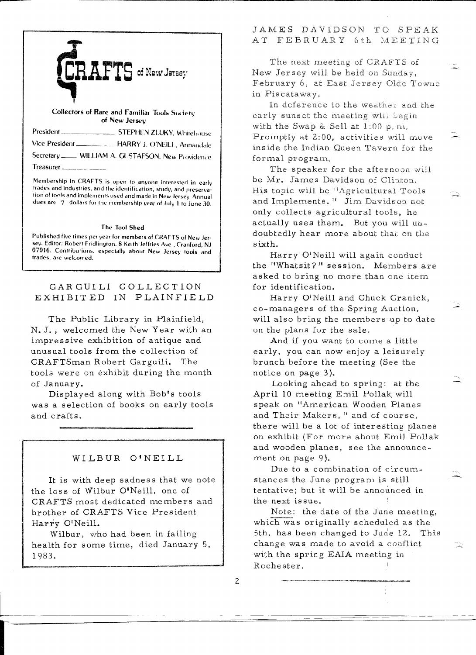**Collectors of Rare and Familiar Tools Society** of New Jersey STEPHEN ZLUKY, Whitehouse President\_ Vice President \_\_\_\_\_\_\_\_\_\_ HARRY J. O'NEILL, Annandale Secretary \_\_\_\_\_\_ WILLIAM A. GUSTAFSON, New Providence Treasurer\_

 $\operatorname{ATTS}$  of New Jersey

Membership in CRAFTS is open to anyone interested in early trades and industries, and the identification, study, and preservation of tools and implements used and made in New Jersey. Annual dues are 7 dollars for the membership year of July 1 to June 30.

#### The Tool Shed

Published five times per year for members of CRAFTS of New Jersey. Editor: Robert Fridlington, 8 Keith Jeffries Ave., Cranford, NJ 07016. Contributions, especially about New Jersey tools and trades, are welcomed.

## GARGUILI COLLECTION EXHIBITED IN PLAINFIELD

The Public Library in Plainfield, N. J., welcomed the New Year with an impressive exhibition of antique and unusual tools from the collection of CRAFTSman Robert Garguili. The tools were on exhibit during the month of January.

Displayed along with Bob's tools was a selection of books on early tools and crafts.

#### WILBUR O'NEILL

It is with deep sadness that we note the loss of Wilbur O'Neill, one of CRAFTS most dedicated members and brother of CRAFTS Vice President Harry O'Neill.

Wilbur, who had been in failing health for some time, died January 5, 1983.

## JAMES DAVIDSON TO SPEAK AT FEBRUARY 6th MEETING

The next meeting of CRAFTS of New Jersey will be held on Sunday, February 6, at East Jersey Olde Towne in Piscataway.

In deference to the weather and the early sunset the meeting will begin with the Swap & Sell at  $1:00$  p.m. Promptly at 2:00, activities will move inside the Indian Queen Tavern for the formal program.

The speaker for the afternoon will be Mr. James Davidson of Clinton. His topic will be "Agricultural Tools and Implements.<sup>11</sup> Jim Davidson not only collects agricultural tools, he actually uses them. But you will undoubtedly hear more about that on the sixth.

Harry O'Neill will again conduct the "Whatsit?" session. Members are asked to bring no more than one item for identification.

Harry O'Neill and Chuck Granick, co-managers of the Spring Auction, will also bring the members up to date on the plans for the sale.

And if you want to come a little early, you can now enjoy a leisurely brunch before the meeting (See the notice on page 3).

Looking ahead to spring: at the April 10 meeting Emil Pollak will speak on "American Wooden Planes and Their Makers, " and of course, there will be a lot of interesting planes on exhibit (For more about Emil Pollak and wooden planes, see the announcement on page 9).

Due to a combination of circumstances the June program is still tentative; but it will be announced in the next issue.

Note: the date of the June meeting, which was originally scheduled as the 5th, has been changed to June 12. This change was made to avoid a conflict with the spring EAIA meeting in Rochester.  $\cdot$ i

 $\overline{c}$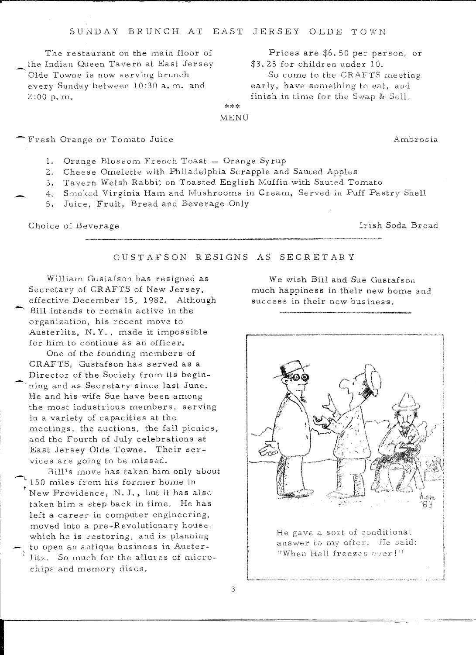The restaurant on the main floor of<br>the Indian Queen Tavern at East Jersey<br>Olde Towne is now serving brunch Indian Queen Tavern at East Jersey Olde Towne is now serving brunch every Sunday between 10:30 a.m. and  $2:00$  p.m.

Prices are \$6.50 per person, or \$3.25 for children under 10. So come to the CRAFTS meeting early, have something to eat, and finish in time for the Swap  $\&$  Sell,

ole ole ole

#### MENU

Fresh Orange or Tomato Juice

Arnbrosia

- 1. Orange Blossom French Toast Orange Syrup
- 2. Cheese Omelette with Philadelphia Scrapple and Sauted Apples
- 3. Tavern Welsh Rabbit on Toasted English Muffin with Sauted Tomato
- 4. Smoked Virginia Ham and Mushrooms in Cream, Served in Puff Pastry Shell
- 5, Juice, Fruit, Bread and Beverage Only

Choice of Beverage Irish Soda Bread

### GUSTAFSON RESIGNS AS SECRETARY

William Gustafson has resigned as Secretary of CRAFTS of New Jersey, effective December 15, 1982, Although Bill intends to remain active in the organization, his recent move to Austerlitz, N.Y. , made it impossible for him to continue as an officer.

- One of the founding mernbers of CRAFTS, Gustafson has served as a Director of the Society from its beginning and as Secretary since last June. He and his wife Sue have been among the most industrious members, serving in a variety of capacities at meetings, the auctions, the fall picnics, and the Fourth of July celebrations at East Jersey Olde Towne, Their services are going to be missed.

Bill's move has taken him only about 150 miles from his former home in New Providence, N.J., but it has also taken him a step back in time. He has left a career in computer engineering, moved into a pre-Revolutionary house, which he is restoring, and is planning to open an antique business in Austerlitz. So much for the allures of microchips and memory discs.

We wish Bill and Sue Gustafson much happiness in their new home and success in their new business.

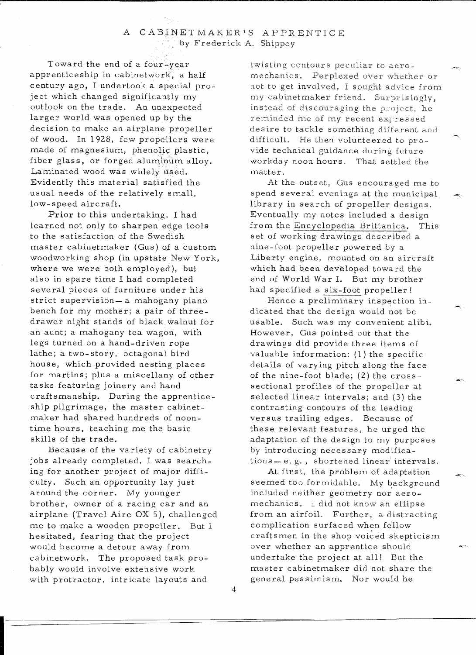## A CABINETMAKER'S APPRENTICE by Frederick A, Shippey

Toward the end of a four-year apprenticeship in cabinetwork, a half century ago, I undertook a special project which changed significantly my outlook on the trade. An unexpected larger world was opened up by the decision to make an airplane propeller of wood. In 1928, few propellers were made of magnesium, phenolic plastic, fiber glass, or forged aluminum alloy. Laminated wood was widely used. Evidently this material satisfied the usual needs of the relatively small, low-speed aircraft.

Prior to this undertaking, I had learned not only to sharpen edge tools to the satisfaction of the Swedish master cabinetmaker (Gus) of a custom woodworking shop (in upstate New York, where we were both employed), but also in spare time I had completed several pieces of furniture under his strict supervision- a mahogany piano bench for my mother; a pair of threedrawer night stands of black walnut for an aunt; a mahogany tea wagon, with legs turned on a hand-driven rope lathe; a two-story, octagonal bird house, which provided nesting places for martins; plus a miscellany of other tasks featuring joinery and hand craftsmanship. During the apprenticeship pilgrimage, the master cabinetmaker had shared hundreds of noontime hours, teaching me the basic skills of the trade.

Because of the variety of cabinetry jobs already completed, I was searching for another project of major difficulty. Such an opportunity lay just around the corner. My younger brother, owner of a racing car and an airplane (Travel Aire OX 5), challenged me to make a wooden propeller. But I hesitated, fearing that the project would become a detour away from cabinetwork. The proposed task probably would involve extensive work with protractor, intricate layouts and

twisting contours peculiar to aeromechanics. Perplexed over whether or not to get involved, I sought advice from my cabinetmaker friend. instead of discouraging the project, he reminded me of my recent expressed desire *to* tackle something different and difficult. He then volunteered to provide technical guidance during future workday noon hours. That settled the matter.

At the outset, Gus encouraged me to spend several evenings at the municipal library in search of propeller designs. Eventually my notes included a design from the Encyclopedia Brittanica. This set of working drawings described a nine-foot propeller powered by a Liberty engine, mounted on an aircraft which had been developed toward the end of World War I. But my brother had specified a six-foot propeller!

Hence a preliminary inspection indicated that the design would not be usable. Such was my convenient alibi. However, Gus pointed out that the drawings did provide three items of valuable information: (l) the specific details of varying pitch along the face of the nine-foot blade; (2) the crosssectional profiles of the propeller at selected linear intervals; and (3) the contrasting contours of the leading versus trailing edges. Because of these relevant features, he urged the adaptation of the design to my purposes by introducing necessary modifications- e. g. , shortened linear' intervals.

At first, the problem of adaptation seemed too formidable. My background included neither geometry nor aeromechanics. I did not know an ellipse from an airfoil. Further, a distracting complication surfaced when fellow craftsmen in the shop voiced skepticism over whether an apprentice should undertake the project at all! But the master cabinetmaker did not share the general pessimism. Nor would he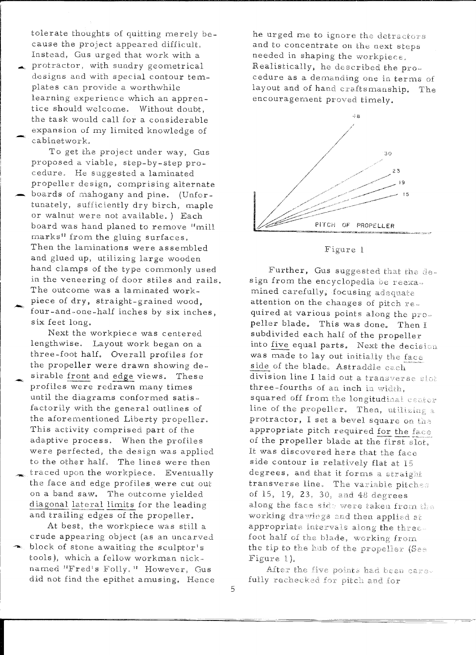tolerate thoughts of quitting merely because the project appeared difficult. Instead, Gus urged that work with a

retractor, with sundry geometrical designs and with special contour templates can provide a worthwhile learning experience which an apprentice should welcome. Without doubt, the task would call for a considerable expansion of my limited knowledge of cabinetwork.

- To get the project under way, Gus proposed a viable, step-by-step procedure. He suggested a laminated propeller design, comprising alternate boards of mahogany and pine. (Unfortunately, sufficiently dry birch, maple or walnut were not available. ) Each board was hand planed to remove "mill marks<sup>"</sup> from the gluing surfaces. Then the laminations were assembled and glued up, utilizing large wooden hand clamps of the commonly used in the veneering of door stiles and rails. The outcome was a laminated workpiece of dry, straight-grained wood, four-and-one-half inches by six inches, six feet long.

Next the workpiece was centered lengthwise. Layout work began on a three-foot half. Overall profiles for the propeller were drawn showing de sirable front and edge views. These profiles were redrawn many times until the diagrams conformed satisfactorily with the general outlines of the aforementioned Liberty propeller. This activity comprised part of the adaptive process. When the profiles were perfected, the design was applied to the other half. The lines were then traced upon the workpiece. Eventually the face and edge profiles were cut out~ on a band saw. The outcome yielded diagonal lateral limits for the leading and trailing edges of the propeller,

At best, the workpiece was still a crude appearing object (as an uncarved block of stone awaiting the sculptor's tools), which a fellow workman nicknamed "Fred's Folly," However, Gus did not find the epithet amusing. Hence he urged me to ignore the detractors and to concentrate on the next steps needed in shaping the workpiece. Realistically, he described the procedure as a demanding one in terms of layout and of hand craftsmanship. The encouragernent proved timely,



#### Figure l

Further, Gus suggested that the design from the encyclopedia be reexa. mined carefully, focusing adequate attention on the changes of pitch  $re$ . quired at various points along the  $pro\sim$ peller blade. This was done. Then I subdivided each half of the propeller into five equal parts. Next the decision was made to lay out initially the face side of the blade. Astraddle each division line I laid out a transverse slot three-fourths of an inch in width. squared off from the longitudinal center line of the propeller. Then, utilizing a protractor, I set a bevel square on the appropriate pitch required for the face of the propeller blade at the first slot. It was discovered here that the face side contour is relatively flat at 15 degrees, and that it forms a straight transverse line. The variable pitches of 15, 19, 23, 30, and 48 degrees along the face side were taken from the working drawings and then applied at appropriate intervals along the threefoot half of the blade, working from the tip to the hub of the propeller (See Figure 1).

After the five points had been carefully rachecked for pitch and for

5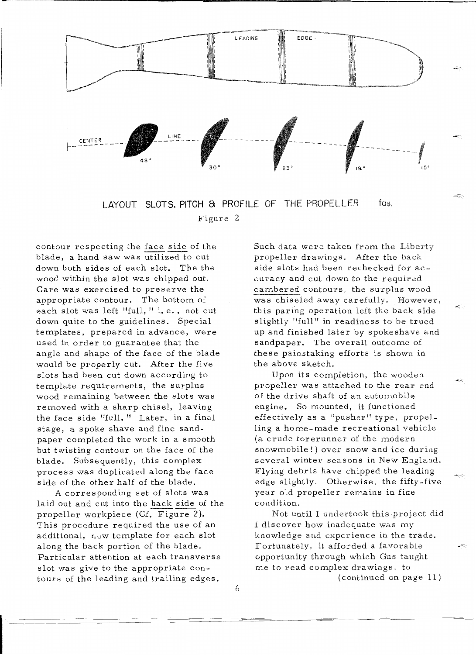

LAYOUT SLOTS, PITCH & PROFILE OF THE PROPELLER fas. Figure 2

contour respecting the face side of the blade, a hand saw was utilized to cut down both sides of each slot. The the wood within the slot was chipped out. Care was exercised to preserve the appropriate contour. The bottom of each slot was left "full, " i.e., not cut down quite to the guidelines. Special templates, prepared in advance, were used in order to guarantee that the angle and shape of the face of the blade would be properly cut. After the five slots had been cut down according to template requirements, the surplus wood remaining between the slots was removed with a sharp chisel, leaving the face side "full." Later, in a final stage, a spoke shave and fine sandpaper completed the work in a smooth but twisting contour on the face of the blade. Subsequently, this complex process was duplicated along the face side of the other half of the blade.

A corresponding set of slots was laid out and cut into the back side of the propeller workpiece (C $f$ . Figure 2). This procedure required the use of an additional, now template for each slot along the back portion of the blade. Particular attention at each transverse slot was give to the appropriate contours of the leading and trailing edges.

**I** 

Such data were taken from the Lib propeller drawings. After the back side slots had been rechecked for accuracy and cut down to the required carnbered contours, the surplus wood was chiseled away carefully. However, this paring operation left the back side slightly ''full" in readiness to be trued up and finished later by spokeshave and sandpaper. The overall outcome of these painstaking efforts is shown in the above sketch.

Upon its cornpletion, the wooden propeller was attached to the rear end of the drive shaft of an automobile engine. So mounted, it functioned effectively as a "pusher" type, propelling a home-made recreational vehicle (a crude forerunner of the modern snowmobile!) over snow and ice during several winter seasons in New England. Flying debris have chipped the leading edge slightly. Otherwise, the fifty-five year old propeller remains in fine condition.

Not until I undertook this project did I discover how inadequate was my knowledge and experience in the trade. Fortunately, it afforded a favorable opportunity through which Gus taught me to read complex drawings, to (continued on page ll)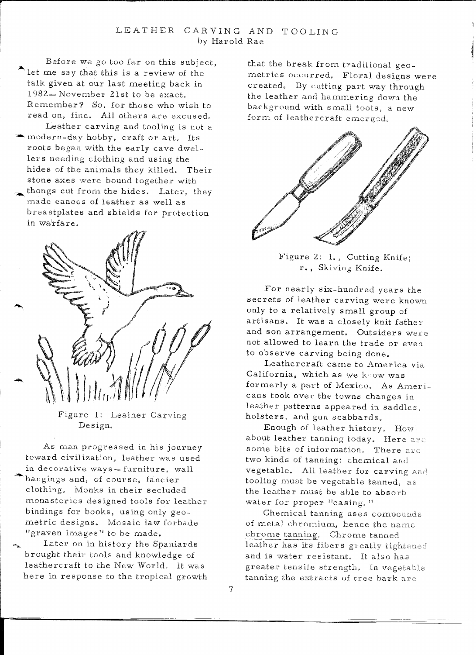A Before we go too far on this subject, let me say that this is a review of the talk given at our last meeting back in 1982- November 21st to be exact. Remember? So, for those who wish to read on, fine. All others are excused. Leather carving and tooling is not a  $\blacktriangleright$  modern-day hobby, craft or art. Its roots began with the early cave lers needing clothing and using the hides of the animals they killed. Their stone axes were bound together with thongs cut from the hides. Later, they made canoes of leather as well as breastplates and shields for protection



Figure 1: Leather Carving Design.

As man progressed in his journey tcward civilization, leather was used in decorative ways furniture, wall hangings and, of course, fancier clothing. Monks in their secluded monasteries designed tools for leather bindings for books, using only geometric designs. Mosaic law forbade<br>"graven images" to be made.

Later on in history the Spaniards brought their tools and knowledge of leathercraft to the New World. It was here in response to the tropical growth

that the break from traditional geometrics occurred. Floral designs were created. By cutting part way through the leather and hammering down the background with small tools, a new form of leathercraft emerged.



Figure 2: l., Cutting Knife; r. , Skiving Knife.

For nearly six-hundred years the secrets of leather carving were known only to a relatively small group of artisans. It was a closely knit father and son arrangement. Outsiders were not allowed to learn the trade or even to observe carving being done.

Leathercraft came to America via California, which as we keep was formerly a part of Mexico. As Americans took over the towns changes in leather patterns appeared in saddles, holsters, and gun scabbards.

Enough of leather history. Hovv about leather tanning today. Here  $are$ some bits of information. There are two kinds of tanning: chemical and vegetable. All leather for carving and tooling must be vegetable tanned, as the leather must be able to absorb water for proper "casing."

Chemical tanning uses compounds of metal chromium, hence the name chrome tanning. Chrome tanned leather has its fibers greatly tightened and is water resistant. *It* also has greater tensile strength. In vegetable tanning the extracts of tree bark are

--- ---------------- . --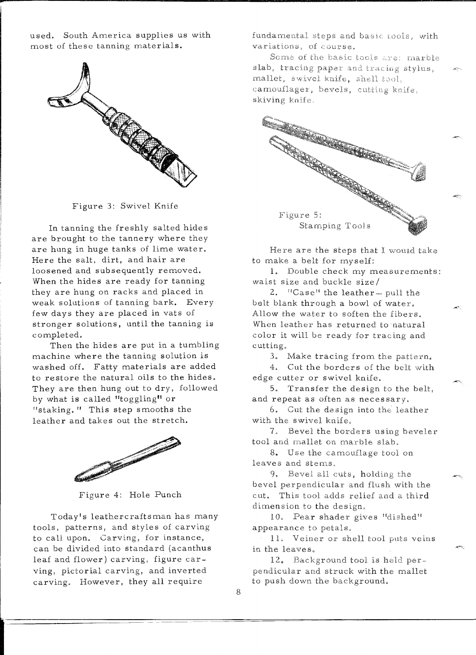used. South America supplies us with most of these tanning materials.



Figure 3: Swivel Knife

In tanning the freshly salted hides are brought to the tannery where they are hung in huge tanks of lime water. Here the salt, dirt, and hair are loosened and subsequently removed. When the hides are ready for tanning they are hung on racks and placed in weak solutions of tanning bark. Every few days they are placed in vats of stronger solutions, until the tanning is completed.

Then the hides are put in a tumbling machine where the tanning solution is washed off. Fatty materials are added to restore the natural oils to the hides, They are then hung out to dry, followed by what is called "toggling" or "staking." This step smooths the leather and takes out the stretch.



Figure 4: Hole Punch

Today's leather crafts man has many tools, patterns, and styles of carving to call upon. Carving, for instance, can be divided into standard (acanthus leaf and flower) carving, figure carving, pictorial carving, and inverted carving.. However, they all require

fundamental steps and basic tools, with variations, of course.

Some of the basic tools are: marble slab, tracing paper and tracing stylus, mallet, swivel knife, shell tool, ca mouflager, bevels, cutting knife, skiving knife



Here are the steps that I would take to make a belt for myself:

1. Double check rny measurements: waist size and buckle size/

2.  $"Case"$  the leather-pull the belt blank through a bowl of water. Allow the water to soften the fibers. When leather has returned to natural color it will be ready for tracing and cutting.

3. Make tracing from the pattern.

4. Cut the borders of the belt with edge cutter or swivel knife.

5. Transfer the design to the belt, and repeat as often as necessary.

6. Cut the design into the leather with the swivel knife,

7. Bevel the borders using beveler tool and mallet on marble slab.

8. Use the carnouflage tool on leaves and stems.

9. Bevel all cuts, holding the bevel perpendicular and flush with the cut. This tool adds relief and a third dirnension to the design.

10. Pear shader gives "dished" appearance to petals.

11. Veiner or shell tool puts veins in the leaves.

12. Background tool is held perpendicular and struck with the mallet to push down the background,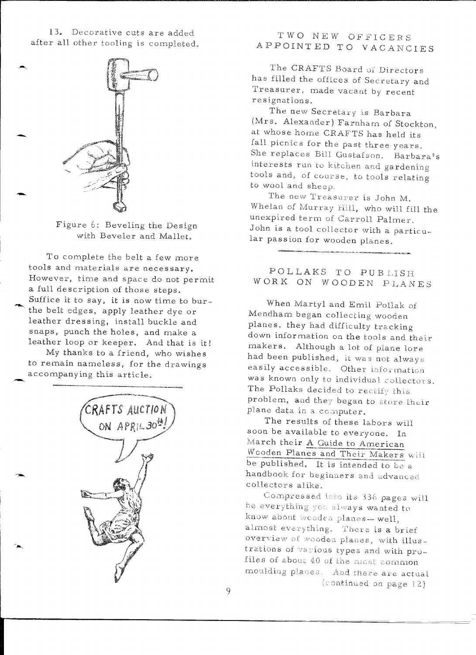13. Decorative cuts are added after all other tooling is completed.



--

-

Figure 6: Beveling the Design with Beveler and Mallet.

To complete the belt a few more tools and materials are necessary. However, time and space do not permit a full description of those steps. Suffice it to say, it is now time to burthe belt edges, apply leather dye or leather dressing, install buckle and snaps, punch the holes, and make a leather loop or keeper. And that is it!

- My thanks to a friend, who wishes to remain nameless, for the drawings accompanying this article,

CRAFTS AUCTION ON APRIL  $30^{th}$ 

# TWO NEW OFFICERS APPOINTED TO VACANCIES

The CRAFTS Board *cu.* Directors has the offices of Secretary and Treasurer, made vacant by recent resignations.

The new Secretary is Barbara (Mrs. Alexander) Farnham of Stockton, at whose horne CRAFTS has held its fall picnics for the past three years. She replaces Bill Gustafson. Barbara<sup>®</sup>s interests run to kitchen and gardening tools and, of course, to tools relating to wool and  ${\tt sheep}$ 

The new Treasurer is John M. Whelan of Murray Hill, who will fill the unexpired term of Carroll Palmer. John is a tool collector with a particular passion for wooden planes,

# POLLAKS TO PUBLISH WORK ON WOODEN PLANES

When Martyl and Emil Pollak of Mendharn began collecting wooden planes, they had difficulty tracking down information on the tools and their makers. Although a lot of plane lore had been published, it was not alway easily accessible. Other information was known only to individual collectors. The Pollaks decided to rectify this problem, and they began to store their plane data in a computer.

The results of these labors will soon be available to everyone. In March their A Guide to American Wooden Planes and Their Makers will be published. It is intended to be a handbook for beginners and advanced collectors alike.

Compressed into its 336 pages will everything you always wanted to know about wooden planes — well, almost everything. There is a brief overview of wooden planes, with illustrations of various types and with pro-<br>files of about 40 of the most common moulding planes. And there are actual (continued on page 12)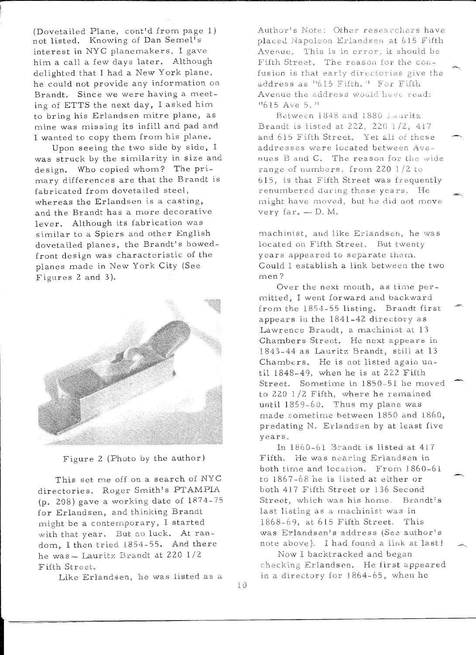(Dovetailed Plane, cont'd from page 1) not listed. Knowing of Dan Semel's interest in NYC planemakers, I gave him a call a few days later. Although delighted that I had a New York plane, he could not provide any information on Brandt. Since we were having a meeting of ETTS the next day, I asked him to bring his Erlandsen mitre plane, as mine was missing its infill and pad and I wanted to copy them from his plane.

Upon seeing the two side by side, I was struck by the similarity in size and design. Who copied whom? The primary differences are that the Brandt is fabricated from dovetailed steel, whereas the Erlandsen is a casting, and the Brandt has a more decorative lever. Although its fabrication was similar to a Spiers and other English dovetailed planes, the Brandt's bowedfront design was characteristic of the planes made in New York City (See Figures 2 and 3).





This set me off on a search of NYC directories. Roger Smith's PTAMPIA (p. 208) gave a working date of 1874-75 for Erlandsen, and thinking Brandt might be a contemporary, I started with that year. But no luck. At random, I then tried 1854-55. And there he was-Lauritz Brandt at 220 1/2 Fifth Street.

Like Erlandsen, he was listed as a

Author's Note: Other researchers have placed Napoleon Erlandsen at 615 Fifth Avenue, This is in error; it should be Fifth Street. The reason for the confusion is that early directories give the address as "615 Fifth." For Fifth Avenue the address would have read: "615 Ave 5."

Between 1848 and 1880 Lauritz Brandt is listed at 222, 220 1/2, 417 and 615 Fifth Street. Yet all of these addresses were located between Avenues B and C. The reason for the wide range of numbers, from 220 1/2 to 615, is that Fifth Street was frequently renumbered during these years. He might have moved, but he did not move very  $far_{\bullet} = D_{\circ} M$ .

machinist, and like Erlandsen, he was located on Fifth Street. But twenty years appeared to separate them. Could I establish a link between the two men?

Over the next month, as time permitted, I went forward and backward from the 1854-55 listing. Brandt first appears in the 1841-42 directory as Lawrence Brandt, a machinist at 13 Chambers Street. He next appears in 1843-44 as Lauritz Brandt, still at 13 Chambers. He is not listed again until 1848-49, when he is at 222 Fifth Street. Sometime in 1850-51 he moved to 220 1/2 Fifth, where he remained until 1859-60. Thus my plane was made sometime between 1850 and 1860, predating N. Erlandsen by at least five years.

In 1860-61 Brandt is listed at 417 Fifth. He was nearing Erlandsen in both time and location. From 1860-61 to 1867-68 he is listed at either or both 417 Fifth Street or 136 Second Street, which was his home. Brandt's last listing as a machinist was in 1868-69, at 615 Fifth Street. This was Erlandsen's address (See author's note above). I had found a link at last!

Now I backtracked and began checking Erlandsen. He first appeared in a directory for 1864-65, when he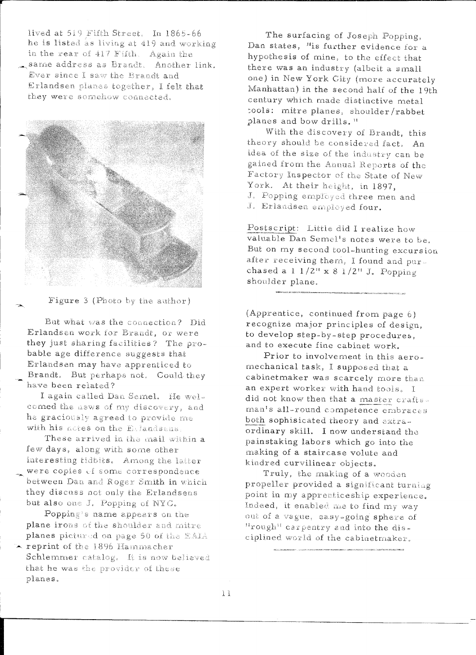lived at 519 Fifth Street. In 1865-66 he is listed as living at 419 and working in the rear of 417 Fifth. Again the

same address as Brandt. Another link. Ever since I saw the Brandt and Erlandsen planes together, I felt that they were somehow connected.



Figure 3 (Photo by the author)

But what was the connection? Did Erlandsen work for Brandt, or were they just sharing facilities? The probable age difference suggests that Erlandsen may have apprenticed to Brandt. But perhaps not. Could they have been related?

I again called Dan Semel. He welcomed the asws of my discovery, and he graciously agreed to provide me with his actes on the Extandsens.

These arrived in the mail within a few days, along with some other interesting tidbits. Among the latter were copies of some correspondence between Dan and Roger Smith in which they discuss not only the Erlandsens but also one J. Popping of NYC.

Popping's name appears on the plane irons of the shoulder and mitre planes pictured on page 50 of the EAIA  $\sim$  reprint of the 1896 Hammacher

Schlemmer catalog. It is now believed that he was the provider of these planes.

The surfacing of Joseph Popping, Dan states, "is further evidence for a hypothesis of mine, to the effect that there was an industry (albeit a small one) in New York City (more accurately Manhattan) in the second half of the 19th century which made distinctive metal tools: mitre planes, shoulder/rabbet planes and bow drills."

With the discovery of Brandt, this theory should be considered fact. An idea of the size of the industry can be gained from the Annual Reports of the Factory Inspector of the State of New York. At their height, in 1897, J. Popping employed three men and J. Erlandsen employed four.

Postscript: Little did I realize how valuable Dan Semel's notes were to be. But on my second tool-hunting excursion after receiving them, I found and purchased a  $1 \frac{1}{2^n} \times 8 \frac{1}{2^n}$  J. Popping shoulder plane.

(Apprentice, continued from page 6) recognize major principles of design, to develop step-by-step procedures, and to execute fine cabinet work.

Prior to involvement in this aeromechanical task, I supposed that a cabinetmaker was scarcely more than an expert worker with hand tools. I did not know then that a master crafts. man's all-round competence embraces both sophisicated theory and extraordinary skill. I now understand the painstaking labors which go into the making of a staircase volute and kindred curvilinear objects.

Truly, the making of a wooden propeller provided a significant turning point in my apprenticeship experience. Indeed, it enabled me to find my way out of a vague, easy-going sphere of "rough" carpentry and into the disciplined world of the cabinetmaker.